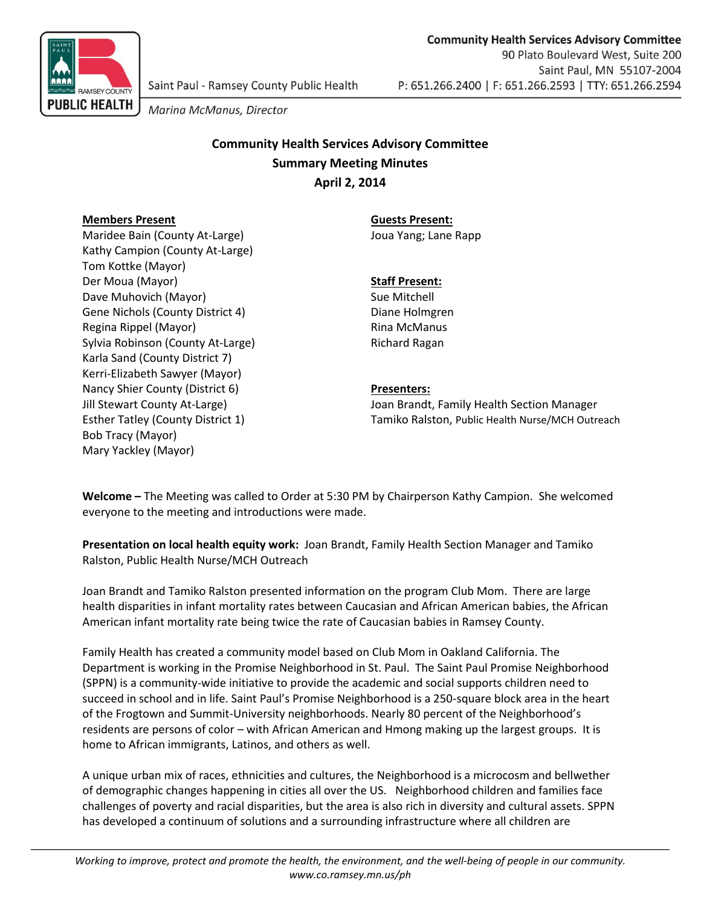

Marina McManus, Director

# **Community Health Services Advisory Committee Summary Meeting Minutes April 2, 2014**

## **Members Present Guests Present:**

Maridee Bain (County At-Large) Joua Yang; Lane Rapp Kathy Campion (County At-Large) Tom Kottke (Mayor) Der Moua (Mayor) **Staff Present:** Dave Muhovich (Mayor) Sue Mitchell Gene Nichols (County District 4) Diane Holmgren Regina Rippel (Mayor) Rina McManus Sylvia Robinson (County At-Large) Richard Ragan Karla Sand (County District 7) Kerri-Elizabeth Sawyer (Mayor) Nancy Shier County (District 6) **Presenters:** Bob Tracy (Mayor) Mary Yackley (Mayor)

Jill Stewart County At-Large) Joan Brandt, Family Health Section Manager Esther Tatley (County District 1) Tamiko Ralston, Public Health Nurse/MCH Outreach

**Welcome –** The Meeting was called to Order at 5:30 PM by Chairperson Kathy Campion. She welcomed everyone to the meeting and introductions were made.

**Presentation on local health equity work:** Joan Brandt, Family Health Section Manager and Tamiko Ralston, Public Health Nurse/MCH Outreach

Joan Brandt and Tamiko Ralston presented information on the program Club Mom. There are large health disparities in infant mortality rates between Caucasian and African American babies, the African American infant mortality rate being twice the rate of Caucasian babies in Ramsey County.

Family Health has created a community model based on Club Mom in Oakland California. The Department is working in the Promise Neighborhood in St. Paul. The Saint Paul Promise Neighborhood (SPPN) is a community-wide initiative to provide the academic and social supports children need to succeed in school and in life. Saint Paul's Promise Neighborhood is a 250-square block area in the heart of the Frogtown and Summit-University neighborhoods. Nearly 80 percent of the Neighborhood's residents are persons of color – with African American and Hmong making up the largest groups. It is home to African immigrants, Latinos, and others as well.

A unique urban mix of races, ethnicities and cultures, the Neighborhood is a microcosm and bellwether of demographic changes happening in cities all over the US. Neighborhood children and families face challenges of poverty and racial disparities, but the area is also rich in diversity and cultural assets. SPPN has developed a continuum of solutions and a surrounding infrastructure where all children are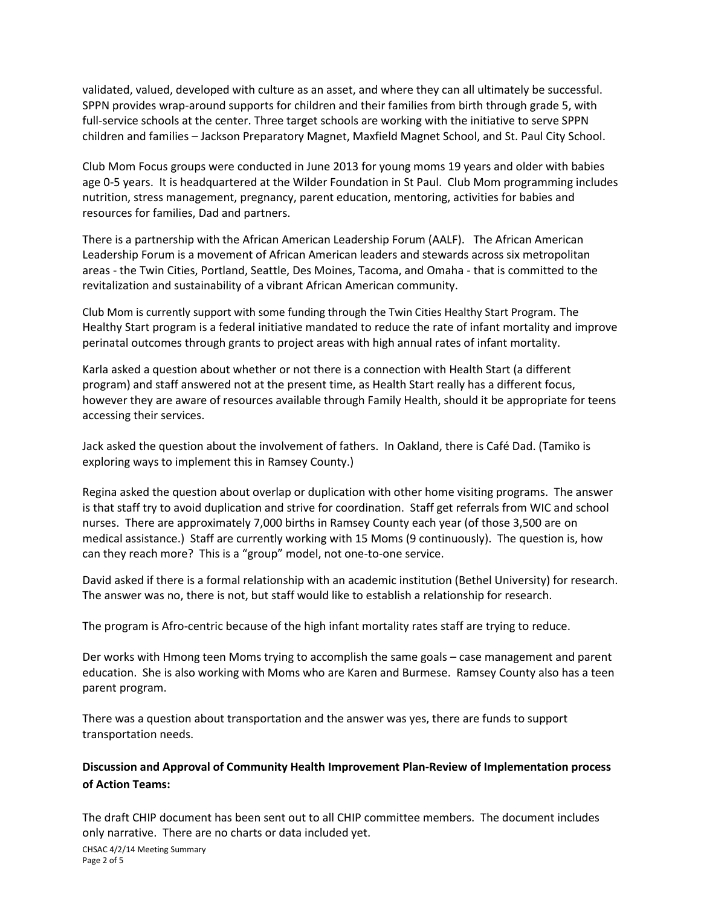validated, valued, developed with culture as an asset, and where they can all ultimately be successful. SPPN provides wrap-around supports for children and their families from birth through grade 5, with full-service schools at the center. Three target schools are working with the initiative to serve SPPN children and families – [Jackson Preparatory Magnet,](http://jackson.spps.org/) [Maxfield Magnet School,](http://maxfield.spps.org/) and [St. Paul City School.](http://www.stpaulcityschool.org/)

Club Mom Focus groups were conducted in June 2013 for young moms 19 years and older with babies age 0-5 years. It is headquartered at the Wilder Foundation in St Paul. Club Mom programming includes nutrition, stress management, pregnancy, parent education, mentoring, activities for babies and resources for families, Dad and partners.

There is a partnership with the African American Leadership Forum (AALF). The African American Leadership Forum is a movement of African American leaders and stewards across six metropolitan areas - the Twin Cities, Portland, Seattle, Des Moines, Tacoma, and Omaha - that is committed to the revitalization and sustainability of a vibrant African American community.

Club Mom is currently support with some funding through the Twin Cities Healthy Start Program. The Healthy Start program is a federal initiative mandated to reduce the rate of infant mortality and improve perinatal outcomes through grants to project areas with high annual rates of infant mortality.

Karla asked a question about whether or not there is a connection with Health Start (a different program) and staff answered not at the present time, as Health Start really has a different focus, however they are aware of resources available through Family Health, should it be appropriate for teens accessing their services.

Jack asked the question about the involvement of fathers. In Oakland, there is Café Dad. (Tamiko is exploring ways to implement this in Ramsey County.)

Regina asked the question about overlap or duplication with other home visiting programs. The answer is that staff try to avoid duplication and strive for coordination. Staff get referrals from WIC and school nurses. There are approximately 7,000 births in Ramsey County each year (of those 3,500 are on medical assistance.) Staff are currently working with 15 Moms (9 continuously). The question is, how can they reach more? This is a "group" model, not one-to-one service.

David asked if there is a formal relationship with an academic institution (Bethel University) for research. The answer was no, there is not, but staff would like to establish a relationship for research.

The program is Afro-centric because of the high infant mortality rates staff are trying to reduce.

Der works with Hmong teen Moms trying to accomplish the same goals – case management and parent education. She is also working with Moms who are Karen and Burmese. Ramsey County also has a teen parent program.

There was a question about transportation and the answer was yes, there are funds to support transportation needs.

## **Discussion and Approval of Community Health Improvement Plan-Review of Implementation process of Action Teams:**

The draft CHIP document has been sent out to all CHIP committee members. The document includes only narrative. There are no charts or data included yet.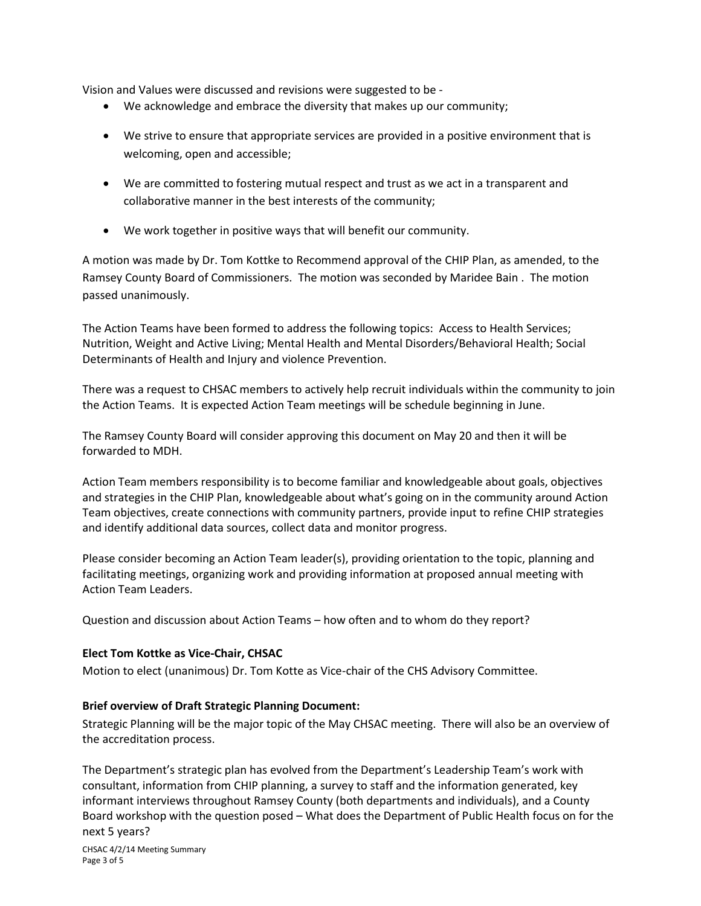Vision and Values were discussed and revisions were suggested to be -

- We acknowledge and embrace the diversity that makes up our community;
- We strive to ensure that appropriate services are provided in a positive environment that is welcoming, open and accessible;
- We are committed to fostering mutual respect and trust as we act in a transparent and collaborative manner in the best interests of the community;
- We work together in positive ways that will benefit our community.

A motion was made by Dr. Tom Kottke to Recommend approval of the CHIP Plan, as amended, to the Ramsey County Board of Commissioners. The motion was seconded by Maridee Bain . The motion passed unanimously.

The Action Teams have been formed to address the following topics: Access to Health Services; Nutrition, Weight and Active Living; Mental Health and Mental Disorders/Behavioral Health; Social Determinants of Health and Injury and violence Prevention.

There was a request to CHSAC members to actively help recruit individuals within the community to join the Action Teams. It is expected Action Team meetings will be schedule beginning in June.

The Ramsey County Board will consider approving this document on May 20 and then it will be forwarded to MDH.

Action Team members responsibility is to become familiar and knowledgeable about goals, objectives and strategies in the CHIP Plan, knowledgeable about what's going on in the community around Action Team objectives, create connections with community partners, provide input to refine CHIP strategies and identify additional data sources, collect data and monitor progress.

Please consider becoming an Action Team leader(s), providing orientation to the topic, planning and facilitating meetings, organizing work and providing information at proposed annual meeting with Action Team Leaders.

Question and discussion about Action Teams – how often and to whom do they report?

## **Elect Tom Kottke as Vice-Chair, CHSAC**

Motion to elect (unanimous) Dr. Tom Kotte as Vice-chair of the CHS Advisory Committee.

## **Brief overview of Draft Strategic Planning Document:**

Strategic Planning will be the major topic of the May CHSAC meeting. There will also be an overview of the accreditation process.

The Department's strategic plan has evolved from the Department's Leadership Team's work with consultant, information from CHIP planning, a survey to staff and the information generated, key informant interviews throughout Ramsey County (both departments and individuals), and a County Board workshop with the question posed – What does the Department of Public Health focus on for the next 5 years?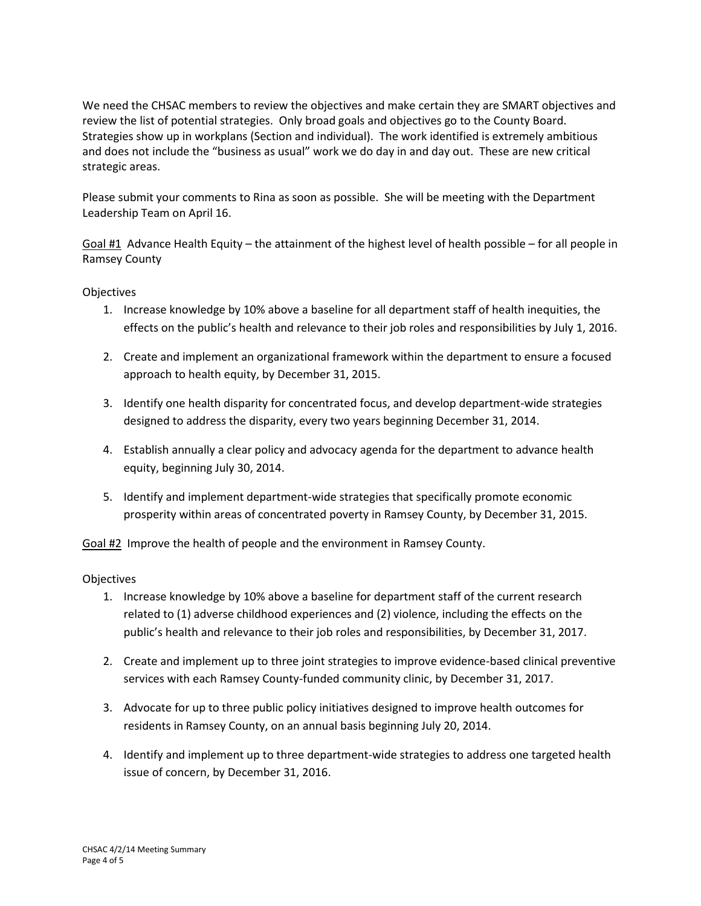We need the CHSAC members to review the objectives and make certain they are SMART objectives and review the list of potential strategies. Only broad goals and objectives go to the County Board. Strategies show up in workplans (Section and individual). The work identified is extremely ambitious and does not include the "business as usual" work we do day in and day out. These are new critical strategic areas.

Please submit your comments to Rina as soon as possible. She will be meeting with the Department Leadership Team on April 16.

Goal  $#1$  Advance Health Equity – the attainment of the highest level of health possible – for all people in Ramsey County

## **Objectives**

- 1. Increase knowledge by 10% above a baseline for all department staff of health inequities, the effects on the public's health and relevance to their job roles and responsibilities by July 1, 2016.
- 2. Create and implement an organizational framework within the department to ensure a focused approach to health equity, by December 31, 2015.
- 3. Identify one health disparity for concentrated focus, and develop department-wide strategies designed to address the disparity, every two years beginning December 31, 2014.
- 4. Establish annually a clear policy and advocacy agenda for the department to advance health equity, beginning July 30, 2014.
- 5. Identify and implement department-wide strategies that specifically promote economic prosperity within areas of concentrated poverty in Ramsey County, by December 31, 2015.

Goal #2 Improve the health of people and the environment in Ramsey County.

## **Objectives**

- 1. Increase knowledge by 10% above a baseline for department staff of the current research related to (1) adverse childhood experiences and (2) violence, including the effects on the public's health and relevance to their job roles and responsibilities, by December 31, 2017.
- 2. Create and implement up to three joint strategies to improve evidence-based clinical preventive services with each Ramsey County-funded community clinic, by December 31, 2017.
- 3. Advocate for up to three public policy initiatives designed to improve health outcomes for residents in Ramsey County, on an annual basis beginning July 20, 2014.
- 4. Identify and implement up to three department-wide strategies to address one targeted health issue of concern, by December 31, 2016.